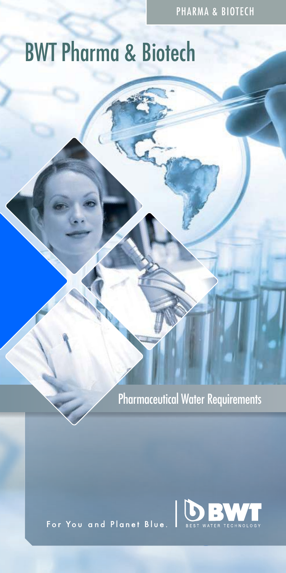PHARMA & BIOTECH

# BWT Pharma & Biotech

Pharmaceutical Water Requirements

For You and Planet Blue.

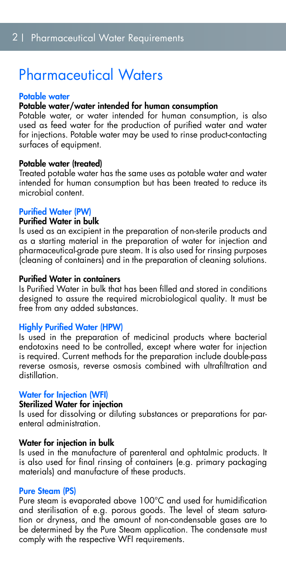# Pharmaceutical Waters

#### Potable water

#### Potable water/water intended for human consumption

Potable water, or water intended for human consumption, is also used as feed water for the production of purified water and water for injections. Potable water may be used to rinse product-contacting surfaces of equipment.

#### Potable water (treated)

Treated potable water has the same uses as potable water and water intended for human consumption but has been treated to reduce its microbial content.

#### Purified Water (PW)

#### Purified Water in bulk

Is used as an excipient in the preparation of non-sterile products and as a starting material in the preparation of water for injection and pharmaceutical-grade pure steam. It is also used for rinsing purposes (cleaning of containers) and in the preparation of cleaning solutions.

#### Purified Water in containers

Is Purified Water in bulk that has been filled and stored in conditions designed to assure the required microbiological quality. It must be free from any added substances.

#### Highly Purified Water (HPW)

Is used in the preparation of medicinal products where bacterial endotoxins need to be controlled, except where water for injection is required. Current methods for the preparation include double-pass reverse osmosis, reverse osmosis combined with ultrafiltration and distillation.

#### Water for Injection (WFI)

#### Sterilized Water for injection

Is used for dissolving or diluting substances or preparations for parenteral administration.

#### Water for injection in bulk

Is used in the manufacture of parenteral and ophtalmic products. It is also used for final rinsing of containers (e.g. primary packaging materials) and manufacture of these products.

#### Pure Steam (PS)

Pure steam is evaporated above 100°C and used for humidification and sterilisation of e.g. porous goods. The level of steam saturation or dryness, and the amount of non-condensable gases are to be determined by the Pure Steam application. The condensate must comply with the respective WFI requirements.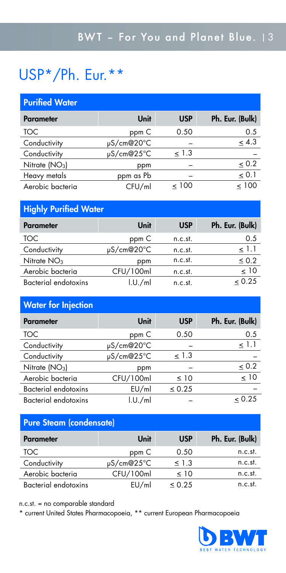# USP\*/Ph. Eur.\*\*

#### Purified Water

| <b>Parameter</b> | Unit       | <b>USP</b> | Ph. Eur. (Bulk) |
|------------------|------------|------------|-----------------|
| TOC              | ppm C      | 0.50       | 0.5             |
| Conductivity     | µS/cm@20°C |            | $\leq 4.3$      |
| Conductivity     | µS/cm@25°C | < 1.3      |                 |
| Nitrate $(NO3)$  | ppm        |            | < 0.2           |
| Heavy metals     | ppm as Pb  |            | < 0.1           |
| Aerobic bacteria | CFU/ml     | < 100      | < 100           |

#### Highly Purified Water

| <b>Parameter</b>     | Unit            | <b>USP</b> | Ph. Eur. (Bulk) |
|----------------------|-----------------|------------|-----------------|
| TOC.                 | ppm C           | n.c.st.    | 0.5             |
| Conductivity         | $\mu$ S/cm@20°C | n.c.st.    | 1.1             |
| Nitrate $NO3$        | ppm             | n.c.st.    | $\leq 0.2$      |
| Aerobic bacteria     | CFU/100ml       | n.c.st.    | < 10            |
| Bacterial endotoxins | 1.0./ml         | n.c.st.    | < 0.25          |

#### Water for Injection

| <b>Parameter</b>            | Unit       | <b>USP</b>  | Ph. Eur. (Bulk) |
|-----------------------------|------------|-------------|-----------------|
| TOC                         | ppm C      | 0.50        | 0.5             |
| Conductivity                | µS/cm@20°C |             | < 1.1           |
| Conductivity                | µS/cm@25°C | < 1.3       |                 |
| Nitrate $(NO3)$             | ppm        |             | $\leq 0.2$      |
| Aerobic bacteria            | CFU/100ml  | $\leq 10$   | $\leq 10$       |
| <b>Bacterial endotoxins</b> | EU/ml      | $\leq 0.25$ |                 |
| <b>Bacterial endotoxins</b> | 1.U./ml    |             | & 0.25          |

#### Pure Steam (condensate)

| <b>Parameter</b>     | Unit            | <b>USP</b>  | Ph. Eur. (Bulk) |
|----------------------|-----------------|-------------|-----------------|
| TOC.                 | ppm C           | 0.50        | n.c.st.         |
| Conductivity         | $\mu$ S/cm@25°C | $\leq$ 1.3  | n.c.st.         |
| Aerobic bacteria     | CFU/100ml       | $\leq 10$   | n.c.st.         |
| Bacterial endotoxins | EU/ml           | $\leq 0.25$ | n.c.st.         |

n.c.st. = no comparable standard

\* current United States Pharmacopoeia, \*\* current European Pharmacopoeia

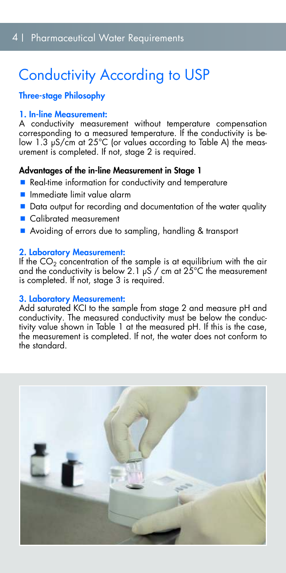# Conductivity According to USP

#### Three-stage Philosophy

#### 1. In-line Measurement:

A conductivity measurement without temperature compensation corresponding to a measured temperature. If the conductivity is below 1.3 μS/cm at 25°C (or values according to Table A) the measurement is completed. If not, stage 2 is required.

#### Advantages of the in-line Measurement in Stage 1

- Real-time information for conductivity and temperature
- **Inmediate limit value alarm**
- Data output for recording and documentation of the water quality
- Calibrated measurement
- Avoiding of errors due to sampling, handling & transport

#### 2. Laboratory Measurement:

If the  $CO<sub>2</sub>$  concentration of the sample is at equilibrium with the air and the conductivity is below 2.1 μS / cm at 25°C the measurement is completed. If not, stage 3 is required.

#### 3. Laboratory Measurement:

Add saturated KCI to the sample from stage 2 and measure pH and conductivity. The measured conductivity must be below the conductivity value shown in Table 1 at the measured pH. If this is the case, the measurement is completed. If not, the water does not conform to the standard.

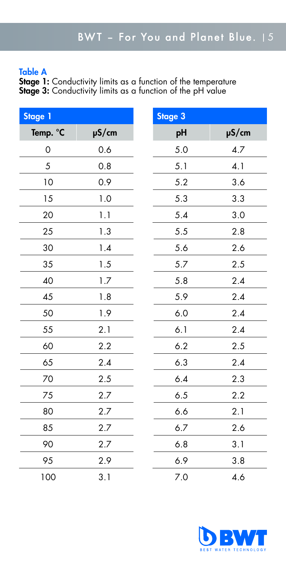#### Table A

**Stage 1:** Conductivity limits as a function of the temperature **Stage 3:** Conductivity limits as a function of the pH value

| <b>Stage 1</b> |            | <b>Stage 3</b> |            |
|----------------|------------|----------------|------------|
| Temp. °C       | $\mu$ S/cm | pH             | $\mu$ S/cm |
| 0              | 0.6        | 5.0            | 4.7        |
| 5              | 0.8        | 5.1            | 4.1        |
| 10             | 0.9        | 5.2            | 3.6        |
| 15             | 1.0        | 5.3            | 3.3        |
| 20             | 1.1        | 5.4            | 3.0        |
| 25             | 1.3        | 5.5            | 2.8        |
| 30             | 1.4        | 5.6            | 2.6        |
| 35             | 1.5        | 5.7            | 2.5        |
| 40             | 1.7        | 5.8            | 2.4        |
| 45             | 1.8        | 5.9            | 2.4        |
| 50             | 1.9        | 6.0            | 2.4        |
| 55             | 2.1        | 6.1            | 2.4        |
| 60             | 2.2        | 6.2            | 2.5        |
| 65             | 2.4        | 6.3            | 2.4        |
| 70             | 2.5        | 6.4            | 2.3        |
| 75             | 2.7        | 6.5            | 2.2        |
| 80             | 2.7        | 6.6            | 2.1        |
| 85             | 2.7        | 6.7            | 2.6        |
| 90             | 2.7        | 6.8            | 3.1        |
| 95             | 2.9        | 6.9            | 3.8        |
| 100            | 3.1        | 7.0            | 4.6        |

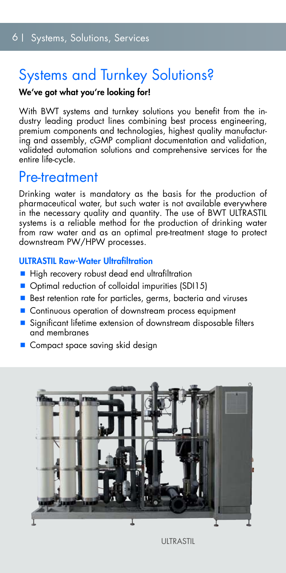## Systems and Turnkey Solutions?

#### We've got what you're looking for!

With BWT systems and turnkey solutions you benefit from the industry leading product lines combining best process engineering, premium components and technologies, highest quality manufacturing and assembly, cGMP compliant documentation and validation, validated automation solutions and comprehensive services for the entire life-cycle.

### Pre-treatment

Drinking water is mandatory as the basis for the production of pharmaceutical water, but such water is not available everywhere in the necessary quality and quantity. The use of BWT ULTRASTIL systems is a reliable method for the production of drinking water from raw water and as an optimal pre-treatment stage to protect downstream PW/HPW processes.

#### **ULTRASTIL Raw-Water Ultrafiltration**

- $\blacksquare$  High recovery robust dead end ultrafiltration
- Optimal reduction of colloidal impurities (SDI15)
- Best retention rate for particles, germs, bacteria and viruses
- Continuous operation of downstream process equipment
- $\blacksquare$  Significant lifetime extension of downstream disposable filters and membranes
- Compact space saving skid design



**ULTRASTIL**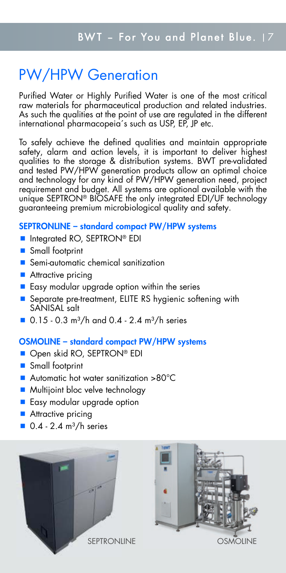# PW/HPW Generation

Purified Water or Highly Purified Water is one of the most critical raw materials for pharmaceutical production and related industries. As such the qualities at the point of use are regulated in the different international pharmacopeia´s such as USP, EP, JP etc.

To safely achieve the defined qualities and maintain appropriate safety, alarm and action levels, it is important to deliver highest qualities to the storage & distribution systems. BWT pre-validated and tested PW/HPW generation products allow an optimal choice and technology for any kind of PW/HPW generation need, project requirement and budget. All systems are optional available with the unique SEPTRON® BIOSAFE the only integrated EDI/UF technology guaranteeing premium microbiological quality and safety.

#### SEPTRONLINE – standard compact PW/HPW systems

- Integrated RO, SEPTRON® EDI
- Small footprint
- Semi-automatic chemical sanitization
- **Attractive pricing**
- $\blacksquare$  Easy modular upgrade option within the series
- Separate pre-treatment, ELITE RS hygienic softening with SANISAL salt
- $\blacksquare$  0.15 0.3 m<sup>3</sup>/h and 0.4 2.4 m<sup>3</sup>/h series

#### OSMOLINE – standard compact PW/HPW systems

- Open skid RO, SEPTRON® EDI
- **Small footprint**
- Automatic hot water sanitization >80°C
- **Multijoint bloc velve technology**
- **Easy modular upgrade option**
- **Attractive pricing**
- $\blacksquare$  0.4 2.4 m<sup>3</sup>/h series



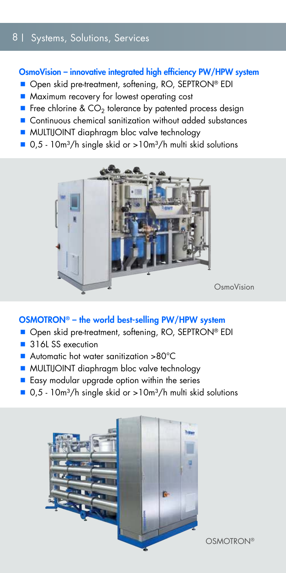#### 8 | Systems, Solutions, Services

#### OsmoVision – innovative integrated high efficiency PW/HPW system

- Open skid pre-treatment, softening, RO, SEPTRON® EDI
- **Maximum recovery for lowest operating cost**
- **F** Free chlorine &  $CO<sub>2</sub>$  tolerance by patented process design
- Continuous chemical sanitization without added substances
- **MULTIJOINT** diaphragm bloc valve technology
- $\Box$  0,5 10m<sup>3</sup>/h single skid or >10m<sup>3</sup>/h multi skid solutions



#### OSMOTRON® – the world best-selling PW/HPW system

- Open skid pre-treatment, softening, RO, SEPTRON® EDI
- 316L SS execution
- Automatic hot water sanitization >80°C
- **MULTIJOINT** diaphragm bloc valve technology
- Easy modular upgrade option within the series
- $\Box$  0,5 10m<sup>3</sup>/h single skid or >10m<sup>3</sup>/h multi skid solutions

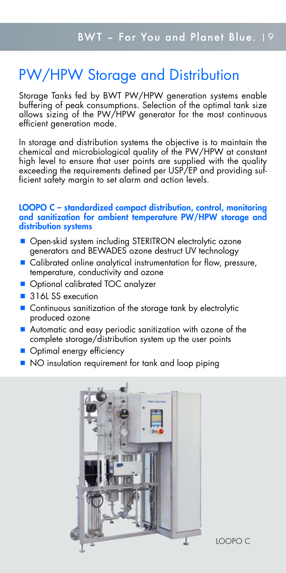# PW/HPW Storage and Distribution

Storage Tanks fed by BWT PW/HPW generation systems enable buffering of peak consumptions. Selection of the optimal tank size allows sizing of the PW/HPW generator for the most continuous efficient generation mode.

In storage and distribution systems the objective is to maintain the chemical and microbiological quality of the PW/HPW at constant high level to ensure that user points are supplied with the quality exceeding the requirements defined per USP/EP and providing sufficient safety margin to set alarm and action levels.

#### LOOPO C – standardized compact distribution, control, monitoring and sanitization for ambient temperature PW/HPW storage and distribution systems

- Open-skid system including STERITRON electrolytic ozone generators and BEWADES ozone destruct UV technology
- Calibrated online analytical instrumentation for flow, pressure, temperature, conductivity and ozone
- **Optional calibrated TOC analyzer**
- 316L SS execution
- Continuous sanitization of the storage tank by electrolytic produced ozone
- Automatic and easy periodic sanitization with ozone of the complete storage/distribution system up the user points
- Optimal energy efficiency
- NO insulation requirement for tank and loop piping

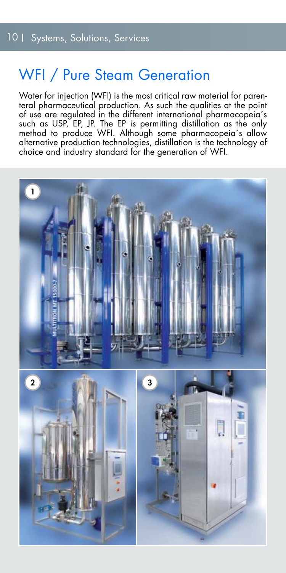### WFI / Pure Steam Generation

Water for injection (WFI) is the most critical raw material for parenteral pharmaceutical production. As such the qualities at the point of use are regulated in the different international pharmacopeia´s such as USP, EP, JP. The EP is permitting distillation as the only method to produce WFI. Although some pharmacopeia´s allow alternative production technologies, distillation is the technology of choice and industry standard for the generation of WFI.

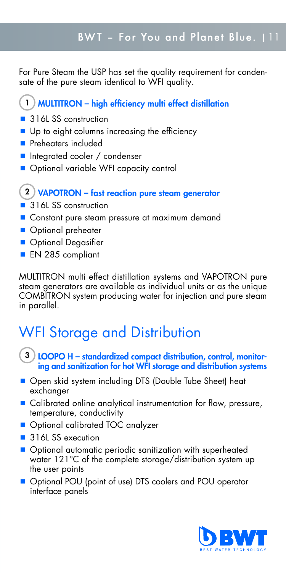For Pure Steam the USP has set the quality requirement for condensate of the pure steam identical to WFI quality.

#### 1) MULTITRON – high efficiency multi effect distillation

- 316L SS construction
- Up to eight columns increasing the efficiency
- **Preheaters included**
- **Integrated cooler / condenser**
- Optional variable WFI capacity control

#### 2) VAPOTRON – fast reaction pure steam generator

- 316L SS construction
- Constant pure steam pressure at maximum demand
- **Optional preheater**
- **Optional Degasifier**
- **EN 285 compliant**

MULTITRON multi effect distillation systems and VAPOTRON pure steam generators are available as individual units or as the unique COMBITRON system producing water for injection and pure steam in parallel.

# WFI Storage and Distribution

- 3) LOOPO H standardized compact distribution, control, monitoring and sanitization for hot WFI storage and distribution systems
- Open skid system including DTS (Double Tube Sheet) heat exchanger
- Calibrated online analytical instrumentation for flow, pressure, temperature, conductivity
- Optional calibrated TOC analyzer
- 316L SS execution
- **Optional automatic periodic sanitization with superheated** water 121°C of the complete storage/distribution system up the user points
- Optional POU (point of use) DTS coolers and POU operator interface panels

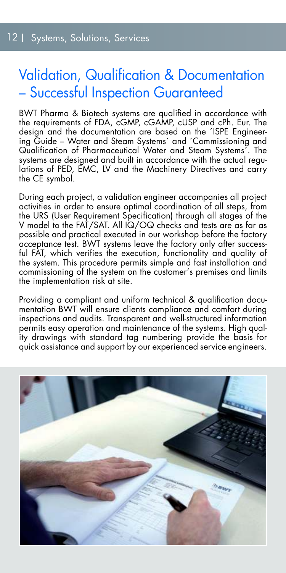### Validation, Qualification & Documentation – Successful Inspection Guaranteed

BWT Pharma & Biotech systems are qualified in accordance with the requirements of FDA, cGMP, cGAMP, cUSP and cPh. Eur. The design and the documentation are based on the 'ISPE Engineering Guide – Water and Steam Systems´ and ´Commissioning and Qualification of Pharmaceutical Water and Steam Systems´. The systems are designed and built in accordance with the actual regulations of PED, EMC, LV and the Machinery Directives and carry the CE symbol.

During each project, a validation engineer accompanies all project activities in order to ensure optimal coordination of all steps, from the URS (User Requirement Specification) through all stages of the V model to the FAT/SAT. All IQ/OQ checks and tests are as far as possible and practical executed in our workshop before the factory acceptance test. BWT systems leave the factory only after successful FAT, which verifies the execution, functionality and quality of the system. This procedure permits simple and fast installation and commissioning of the system on the customer's premises and limits the implementation risk at site.

Providing a compliant and uniform technical & qualification documentation BWT will ensure clients compliance and comfort during inspections and audits. Transparent and well-structured information permits easy operation and maintenance of the systems. High quality drawings with standard tag numbering provide the basis for quick assistance and support by our experienced service engineers.

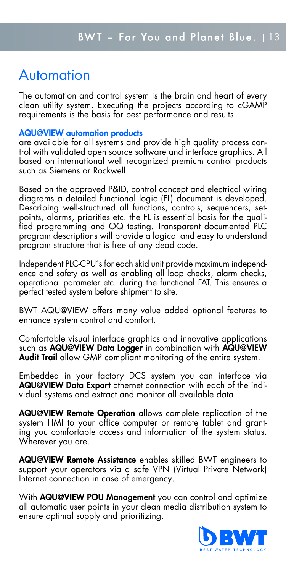# Automation

The automation and control system is the brain and heart of every clean utility system. Executing the projects according to cGAMP requirements is the basis for best performance and results.

#### AQU@VIEW automation products

are available for all systems and provide high quality process control with validated open source software and interface graphics. All based on international well recoanized premium control products such as Siemens or Rockwell.

Based on the approved P&ID, control concept and electrical wiring diagrams a detailed functional logic (FL) document is developed. Describing well-structured all functions, controls, sequencers, setpoints, alarms, priorities etc. the FL is essential basis for the qualified programming and OQ testing. Transparent documented PLC program descriptions will provide a logical and easy to understand program structure that is free of any dead code.

Independent PLC-CPU´s for each skid unit provide maximum independence and safety as well as enabling all loop checks, alarm checks, operational parameter etc. during the functional FAT. This ensures a perfect tested system before shipment to site.

BWT AQU@VIEW offers many value added optional features to enhance system control and comfort.

Comfortable visual interface graphics and innovative applications such as AQU@VIEW Data Logger in combination with AQU@VIEW Audit Trail allow GMP compliant monitoring of the entire system.

Embedded in your factory DCS system you can interface via AQU@VIEW Data Export Ethernet connection with each of the individual systems and extract and monitor all available data.

AQU@VIEW Remote Operation allows complete replication of the system HMI to your office computer or remote tablet and granting you comfortable access and information of the system status. Wherever you are.

AQU@VIEW Remote Assistance enables skilled BWT engineers to support your operators via a safe VPN (Virtual Private Network) Internet connection in case of emergency.

With **AQU@VIEW POU Management** you can control and optimize all automatic user points in your clean media distribution system to ensure optimal supply and prioritizing.

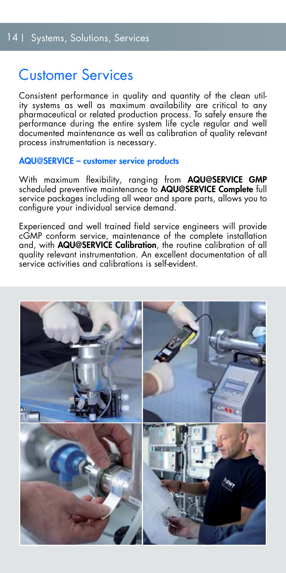## Customer Services

Consistent performance in quality and quantity of the clean utility systems as well as maximum availability are critical to any pharmaceutical or related production process. To safely ensure the performance during the entire system life cycle regular and well documented maintenance as well as calibration of quality relevant process instrumentation is necessary.

#### AQU@SERVICE – customer service products

With maximum flexibility, ranging from AQU@SERVICE GMP scheduled preventive maintenance to AQU@SERVICE Complete full service packages including all wear and spare parts, allows you to configure your individual service demand.

Experienced and well trained field service engineers will provide cGMP conform service, maintenance of the complete installation and, with **AQU@SERVICE Calibration**, the routine calibration of all quality relevant instrumentation. An excellent documentation of all service activities and calibrations is self-evident.

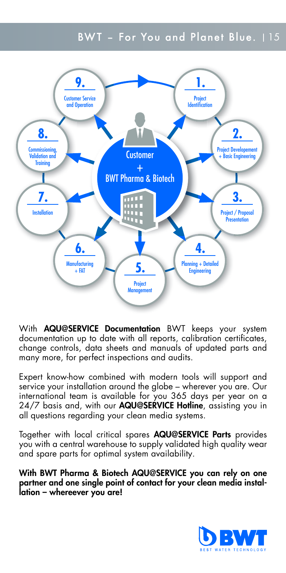#### BWT - For You and Planet Blue. 115



With **AQU@SERVICE Documentation** BWT keeps your system documentation up to date with all reports, calibration certificates, change controls, data sheets and manuals of updated parts and many more, for perfect inspections and audits.

Expert know-how combined with modern tools will support and service your installation around the globe – wherever you are. Our international team is available for you 365 days per year on a 24/7 basis and, with our **AQU@SERVICE Hotline**, assisting you in all questions regarding your clean media systems.

Together with local critical spares AQU@SERVICE Parts provides you with a central warehouse to supply validated high quality wear and spare parts for optimal system availability.

With BWT Pharma & Biotech AQU@SERVICE you can rely on one partner and one single point of contact for your clean media installation – whereever you are!